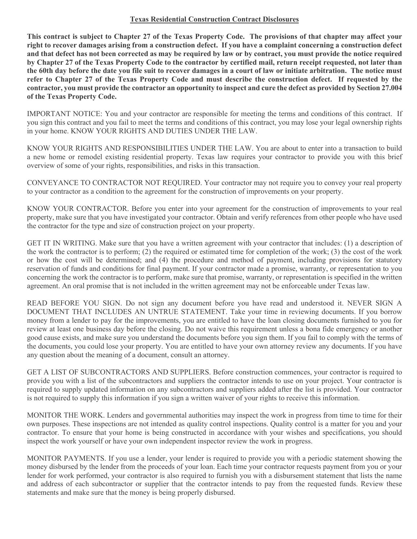## **Texas Residential Construction Contract Disclosures**

**This contract is subject to Chapter 27 of the Texas Property Code. The provisions of that chapter may affect your right to recover damages arising from a construction defect. If you have a complaint concerning a construction defect and that defect has not been corrected as may be required by law or by contract, you must provide the notice required by Chapter 27 of the Texas Property Code to the contractor by certified mail, return receipt requested, not later than the 60th day before the date you file suit to recover damages in a court of law or initiate arbitration. The notice must refer to Chapter 27 of the Texas Property Code and must describe the construction defect. If requested by the contractor, you must provide the contractor an opportunity to inspect and cure the defect as provided by Section 27.004 of the Texas Property Code.**

IMPORTANT NOTICE: You and your contractor are responsible for meeting the terms and conditions of this contract. If you sign this contract and you fail to meet the terms and conditions of this contract, you may lose your legal ownership rights in your home. KNOW YOUR RIGHTS AND DUTIES UNDER THE LAW.

KNOW YOUR RIGHTS AND RESPONSIBILITIES UNDER THE LAW. You are about to enter into a transaction to build a new home or remodel existing residential property. Texas law requires your contractor to provide you with this brief overview of some of your rights, responsibilities, and risks in this transaction.

CONVEYANCE TO CONTRACTOR NOT REQUIRED. Your contractor may not require you to convey your real property to your contractor as a condition to the agreement for the construction of improvements on your property.

KNOW YOUR CONTRACTOR. Before you enter into your agreement for the construction of improvements to your real property, make sure that you have investigated your contractor. Obtain and verify references from other people who have used the contractor for the type and size of construction project on your property.

GET IT IN WRITING. Make sure that you have a written agreement with your contractor that includes: (1) a description of the work the contractor is to perform; (2) the required or estimated time for completion of the work; (3) the cost of the work or how the cost will be determined; and (4) the procedure and method of payment, including provisions for statutory reservation of funds and conditions for final payment. If your contractor made a promise, warranty, or representation to you concerning the work the contractor is to perform, make sure that promise, warranty, or representation is specified in the written agreement. An oral promise that is not included in the written agreement may not be enforceable under Texas law.

READ BEFORE YOU SIGN. Do not sign any document before you have read and understood it. NEVER SIGN A DOCUMENT THAT INCLUDES AN UNTRUE STATEMENT. Take your time in reviewing documents. If you borrow money from a lender to pay for the improvements, you are entitled to have the loan closing documents furnished to you for review at least one business day before the closing. Do not waive this requirement unless a bona fide emergency or another good cause exists, and make sure you understand the documents before you sign them. If you fail to comply with the terms of the documents, you could lose your property. You are entitled to have your own attorney review any documents. If you have any question about the meaning of a document, consult an attorney.

GET A LIST OF SUBCONTRACTORS AND SUPPLIERS. Before construction commences, your contractor is required to provide you with a list of the subcontractors and suppliers the contractor intends to use on your project. Your contractor is required to supply updated information on any subcontractors and suppliers added after the list is provided. Your contractor is not required to supply this information if you sign a written waiver of your rights to receive this information.

MONITOR THE WORK. Lenders and governmental authorities may inspect the work in progress from time to time for their own purposes. These inspections are not intended as quality control inspections. Quality control is a matter for you and your contractor. To ensure that your home is being constructed in accordance with your wishes and specifications, you should inspect the work yourself or have your own independent inspector review the work in progress.

MONITOR PAYMENTS. If you use a lender, your lender is required to provide you with a periodic statement showing the money disbursed by the lender from the proceeds of your loan. Each time your contractor requests payment from you or your lender for work performed, your contractor is also required to furnish you with a disbursement statement that lists the name and address of each subcontractor or supplier that the contractor intends to pay from the requested funds. Review these statements and make sure that the money is being properly disbursed.